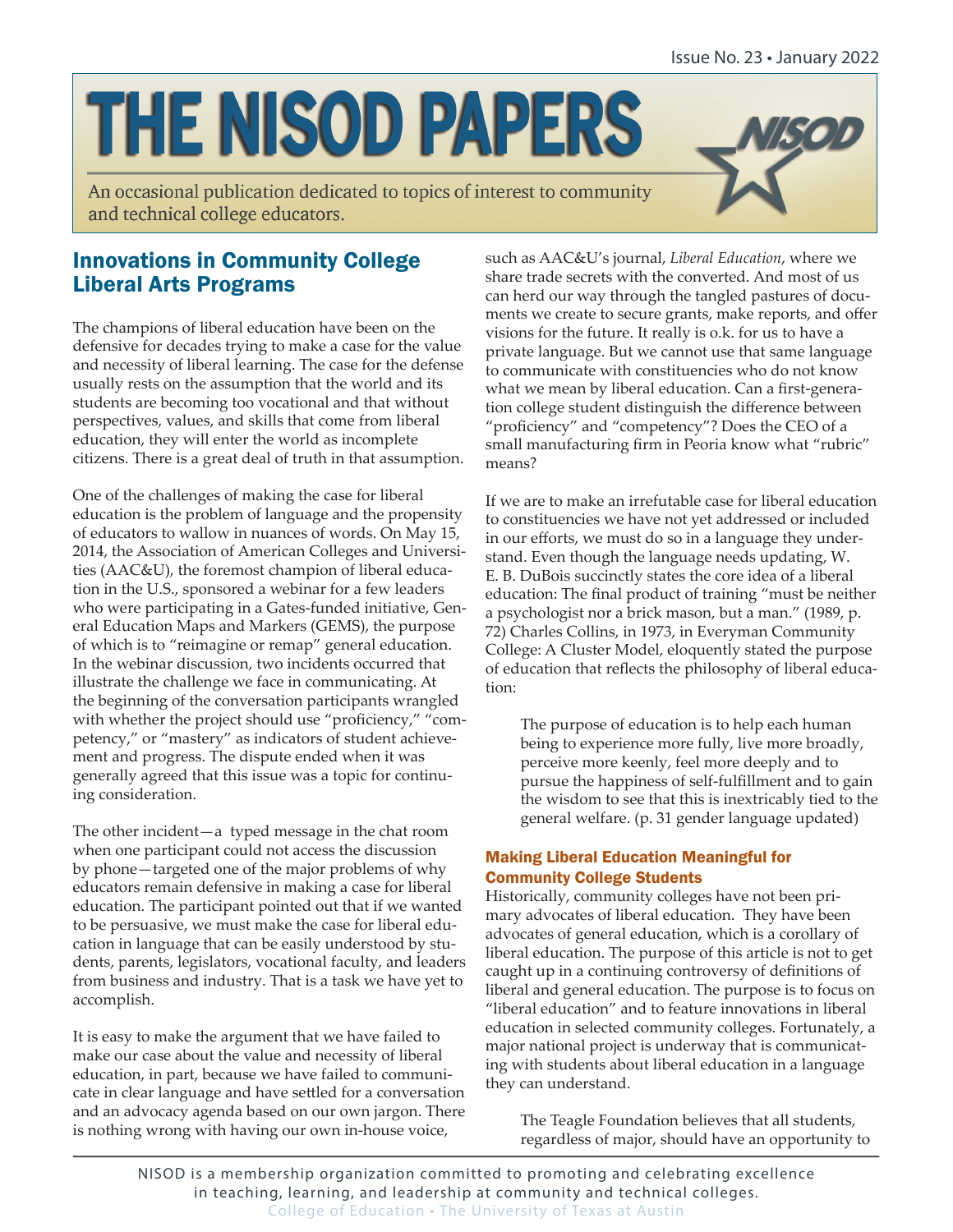# **THE NISOD PAPERS**

An occasional publication dedicated to topics of interest to community and technical college educators.



# Innovations in Community College Liberal Arts Programs

The champions of liberal education have been on the defensive for decades trying to make a case for the value and necessity of liberal learning. The case for the defense usually rests on the assumption that the world and its students are becoming too vocational and that without perspectives, values, and skills that come from liberal education, they will enter the world as incomplete citizens. There is a great deal of truth in that assumption.

One of the challenges of making the case for liberal education is the problem of language and the propensity of educators to wallow in nuances of words. On May 15, 2014, the Association of American Colleges and Universities (AAC&U), the foremost champion of liberal education in the U.S., sponsored a webinar for a few leaders who were participating in a Gates-funded initiative, General Education Maps and Markers (GEMS), the purpose of which is to "reimagine or remap" general education. In the webinar discussion, two incidents occurred that illustrate the challenge we face in communicating. At the beginning of the conversation participants wrangled with whether the project should use "proficiency," "competency," or "mastery" as indicators of student achievement and progress. The dispute ended when it was generally agreed that this issue was a topic for continuing consideration.

The other incident—a typed message in the chat room when one participant could not access the discussion by phone—targeted one of the major problems of why educators remain defensive in making a case for liberal education. The participant pointed out that if we wanted to be persuasive, we must make the case for liberal education in language that can be easily understood by students, parents, legislators, vocational faculty, and leaders from business and industry. That is a task we have yet to accomplish.

It is easy to make the argument that we have failed to make our case about the value and necessity of liberal education, in part, because we have failed to communicate in clear language and have settled for a conversation and an advocacy agenda based on our own jargon. There is nothing wrong with having our own in-house voice,

such as AAC&U's journal, *Liberal Education*, where we share trade secrets with the converted. And most of us can herd our way through the tangled pastures of documents we create to secure grants, make reports, and offer visions for the future. It really is o.k. for us to have a private language. But we cannot use that same language to communicate with constituencies who do not know what we mean by liberal education. Can a first-generation college student distinguish the difference between "proficiency" and "competency"? Does the CEO of a small manufacturing firm in Peoria know what "rubric" means?

If we are to make an irrefutable case for liberal education to constituencies we have not yet addressed or included in our efforts, we must do so in a language they understand. Even though the language needs updating, W. E. B. DuBois succinctly states the core idea of a liberal education: The final product of training "must be neither a psychologist nor a brick mason, but a man." (1989, p. 72) Charles Collins, in 1973, in Everyman Community College: A Cluster Model, eloquently stated the purpose of education that reflects the philosophy of liberal education:

The purpose of education is to help each human being to experience more fully, live more broadly, perceive more keenly, feel more deeply and to pursue the happiness of self-fulfillment and to gain the wisdom to see that this is inextricably tied to the general welfare. (p. 31 gender language updated)

## Making Liberal Education Meaningful for Community College Students

Historically, community colleges have not been primary advocates of liberal education. They have been advocates of general education, which is a corollary of liberal education. The purpose of this article is not to get caught up in a continuing controversy of definitions of liberal and general education. The purpose is to focus on "liberal education" and to feature innovations in liberal education in selected community colleges. Fortunately, a major national project is underway that is communicating with students about liberal education in a language they can understand.

The Teagle Foundation believes that all students, regardless of major, should have an opportunity to

NISOD is a membership organization committed to promoting and celebrating excellence in teaching, learning, and leadership at community and technical colleges. College of Education • The University of Texas at Austin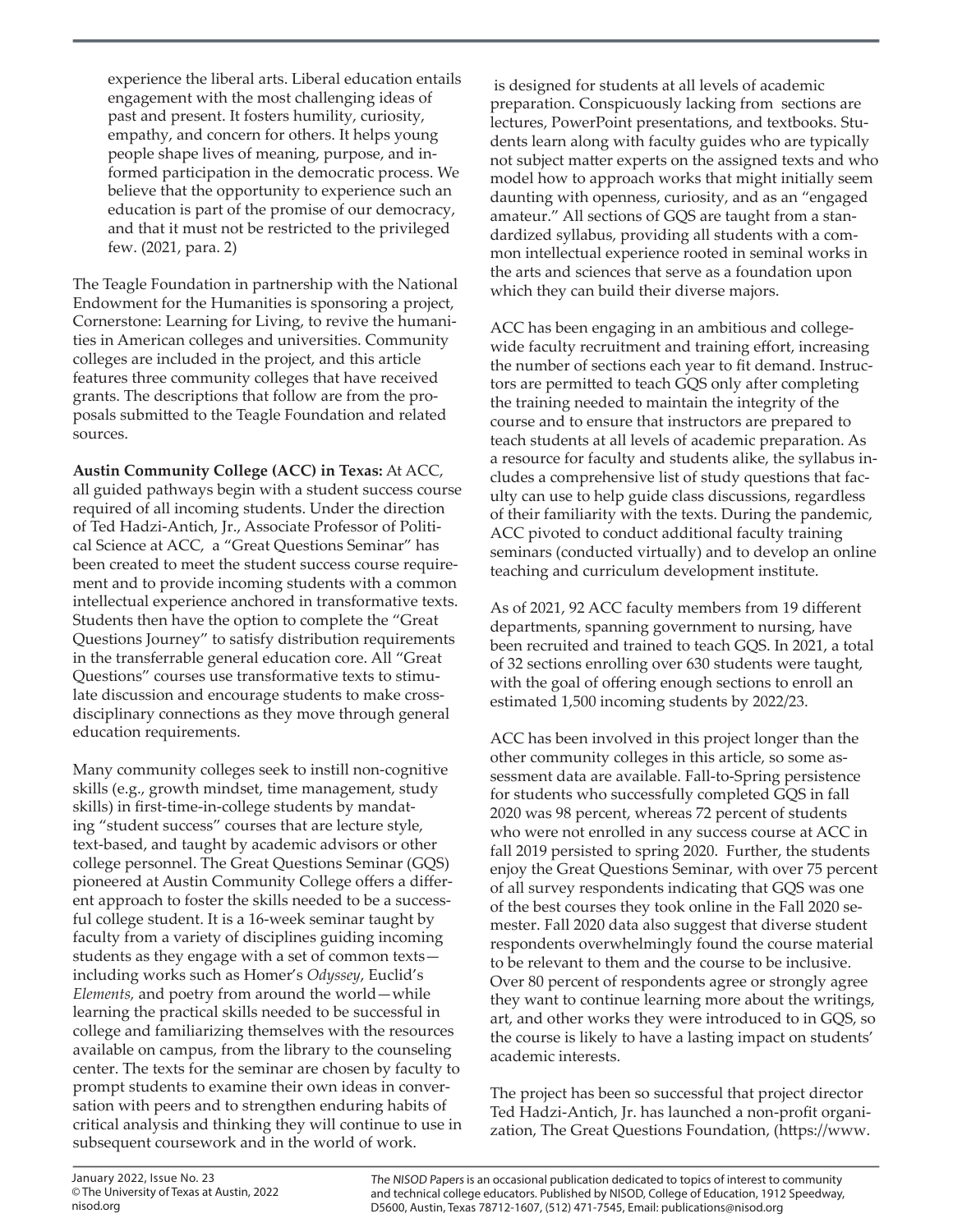experience the liberal arts. Liberal education entails engagement with the most challenging ideas of past and present. It fosters humility, curiosity, empathy, and concern for others. It helps young people shape lives of meaning, purpose, and informed participation in the democratic process. We believe that the opportunity to experience such an education is part of the promise of our democracy, and that it must not be restricted to the privileged few. (2021, para. 2)

The Teagle Foundation in partnership with the National Endowment for the Humanities is sponsoring a project, Cornerstone: Learning for Living, to revive the humanities in American colleges and universities. Community colleges are included in the project, and this article features three community colleges that have received grants. The descriptions that follow are from the proposals submitted to the Teagle Foundation and related sources.

**Austin Community College (ACC) in Texas:** At ACC, all guided pathways begin with a student success course required of all incoming students. Under the direction of Ted Hadzi-Antich, Jr., Associate Professor of Political Science at ACC, a "Great Questions Seminar" has been created to meet the student success course requirement and to provide incoming students with a common intellectual experience anchored in transformative texts. Students then have the option to complete the "Great Questions Journey" to satisfy distribution requirements in the transferrable general education core. All "Great Questions" courses use transformative texts to stimulate discussion and encourage students to make crossdisciplinary connections as they move through general education requirements.

Many community colleges seek to instill non-cognitive skills (e.g., growth mindset, time management, study skills) in first-time-in-college students by mandating "student success" courses that are lecture style, text-based, and taught by academic advisors or other college personnel. The Great Questions Seminar (GQS) pioneered at Austin Community College offers a different approach to foster the skills needed to be a successful college student. It is a 16-week seminar taught by faculty from a variety of disciplines guiding incoming students as they engage with a set of common texts including works such as Homer's *Odyssey*, Euclid's *Elements,* and poetry from around the world—while learning the practical skills needed to be successful in college and familiarizing themselves with the resources available on campus, from the library to the counseling center. The texts for the seminar are chosen by faculty to prompt students to examine their own ideas in conversation with peers and to strengthen enduring habits of critical analysis and thinking they will continue to use in subsequent coursework and in the world of work.

 is designed for students at all levels of academic preparation. Conspicuously lacking from sections are lectures, PowerPoint presentations, and textbooks. Students learn along with faculty guides who are typically not subject matter experts on the assigned texts and who model how to approach works that might initially seem daunting with openness, curiosity, and as an "engaged amateur." All sections of GQS are taught from a standardized syllabus, providing all students with a common intellectual experience rooted in seminal works in the arts and sciences that serve as a foundation upon which they can build their diverse majors.

ACC has been engaging in an ambitious and collegewide faculty recruitment and training effort, increasing the number of sections each year to fit demand. Instructors are permitted to teach GQS only after completing the training needed to maintain the integrity of the course and to ensure that instructors are prepared to teach students at all levels of academic preparation. As a resource for faculty and students alike, the syllabus includes a comprehensive list of study questions that faculty can use to help guide class discussions, regardless of their familiarity with the texts. During the pandemic, ACC pivoted to conduct additional faculty training seminars (conducted virtually) and to develop an online teaching and curriculum development institute.

As of 2021, 92 ACC faculty members from 19 different departments, spanning government to nursing, have been recruited and trained to teach GQS. In 2021, a total of 32 sections enrolling over 630 students were taught, with the goal of offering enough sections to enroll an estimated 1,500 incoming students by 2022/23.

ACC has been involved in this project longer than the other community colleges in this article, so some assessment data are available. Fall-to-Spring persistence for students who successfully completed GQS in fall 2020 was 98 percent, whereas 72 percent of students who were not enrolled in any success course at ACC in fall 2019 persisted to spring 2020. Further, the students enjoy the Great Questions Seminar, with over 75 percent of all survey respondents indicating that GQS was one of the best courses they took online in the Fall 2020 semester. Fall 2020 data also suggest that diverse student respondents overwhelmingly found the course material to be relevant to them and the course to be inclusive. Over 80 percent of respondents agree or strongly agree they want to continue learning more about the writings, art, and other works they were introduced to in GQS, so the course is likely to have a lasting impact on students' academic interests.

The project has been so successful that project director Ted Hadzi-Antich, Jr. has launched a non-profit organization, The Great Questions Foundation, (https://www.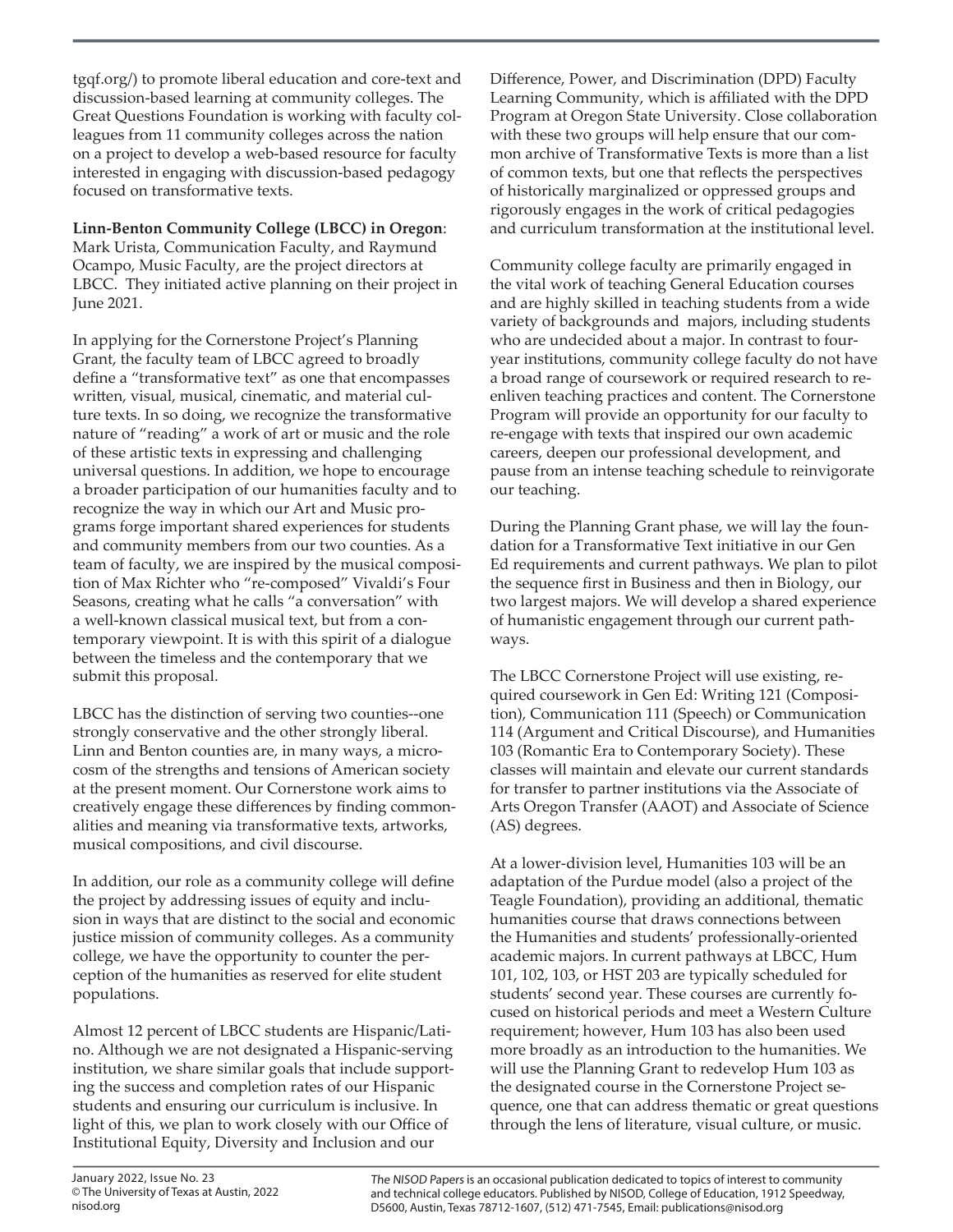tgqf.org/) to promote liberal education and core-text and discussion-based learning at community colleges. The Great Questions Foundation is working with faculty colleagues from 11 community colleges across the nation on a project to develop a web-based resource for faculty interested in engaging with discussion-based pedagogy focused on transformative texts.

**Linn-Benton Community College (LBCC) in Oregon**:

Mark Urista, Communication Faculty, and Raymund Ocampo, Music Faculty, are the project directors at LBCC. They initiated active planning on their project in June 2021.

In applying for the Cornerstone Project's Planning Grant, the faculty team of LBCC agreed to broadly define a "transformative text" as one that encompasses written, visual, musical, cinematic, and material culture texts. In so doing, we recognize the transformative nature of "reading" a work of art or music and the role of these artistic texts in expressing and challenging universal questions. In addition, we hope to encourage a broader participation of our humanities faculty and to recognize the way in which our Art and Music programs forge important shared experiences for students and community members from our two counties. As a team of faculty, we are inspired by the musical composition of Max Richter who "re-composed" Vivaldi's Four Seasons, creating what he calls "a conversation" with a well-known classical musical text, but from a contemporary viewpoint. It is with this spirit of a dialogue between the timeless and the contemporary that we submit this proposal.

LBCC has the distinction of serving two counties--one strongly conservative and the other strongly liberal. Linn and Benton counties are, in many ways, a microcosm of the strengths and tensions of American society at the present moment. Our Cornerstone work aims to creatively engage these differences by finding commonalities and meaning via transformative texts, artworks, musical compositions, and civil discourse.

In addition, our role as a community college will define the project by addressing issues of equity and inclusion in ways that are distinct to the social and economic justice mission of community colleges. As a community college, we have the opportunity to counter the perception of the humanities as reserved for elite student populations.

Almost 12 percent of LBCC students are Hispanic/Latino. Although we are not designated a Hispanic-serving institution, we share similar goals that include supporting the success and completion rates of our Hispanic students and ensuring our curriculum is inclusive. In light of this, we plan to work closely with our Office of Institutional Equity, Diversity and Inclusion and our

Difference, Power, and Discrimination (DPD) Faculty Learning Community, which is affiliated with the DPD Program at Oregon State University. Close collaboration with these two groups will help ensure that our common archive of Transformative Texts is more than a list of common texts, but one that reflects the perspectives of historically marginalized or oppressed groups and rigorously engages in the work of critical pedagogies and curriculum transformation at the institutional level.

Community college faculty are primarily engaged in the vital work of teaching General Education courses and are highly skilled in teaching students from a wide variety of backgrounds and majors, including students who are undecided about a major. In contrast to fouryear institutions, community college faculty do not have a broad range of coursework or required research to reenliven teaching practices and content. The Cornerstone Program will provide an opportunity for our faculty to re-engage with texts that inspired our own academic careers, deepen our professional development, and pause from an intense teaching schedule to reinvigorate our teaching.

During the Planning Grant phase, we will lay the foundation for a Transformative Text initiative in our Gen Ed requirements and current pathways. We plan to pilot the sequence first in Business and then in Biology, our two largest majors. We will develop a shared experience of humanistic engagement through our current pathways.

The LBCC Cornerstone Project will use existing, required coursework in Gen Ed: Writing 121 (Composition), Communication 111 (Speech) or Communication 114 (Argument and Critical Discourse), and Humanities 103 (Romantic Era to Contemporary Society). These classes will maintain and elevate our current standards for transfer to partner institutions via the Associate of Arts Oregon Transfer (AAOT) and Associate of Science (AS) degrees.

At a lower-division level, Humanities 103 will be an adaptation of the Purdue model (also a project of the Teagle Foundation), providing an additional, thematic humanities course that draws connections between the Humanities and students' professionally-oriented academic majors. In current pathways at LBCC, Hum 101, 102, 103, or HST 203 are typically scheduled for students' second year. These courses are currently focused on historical periods and meet a Western Culture requirement; however, Hum 103 has also been used more broadly as an introduction to the humanities. We will use the Planning Grant to redevelop Hum 103 as the designated course in the Cornerstone Project sequence, one that can address thematic or great questions through the lens of literature, visual culture, or music.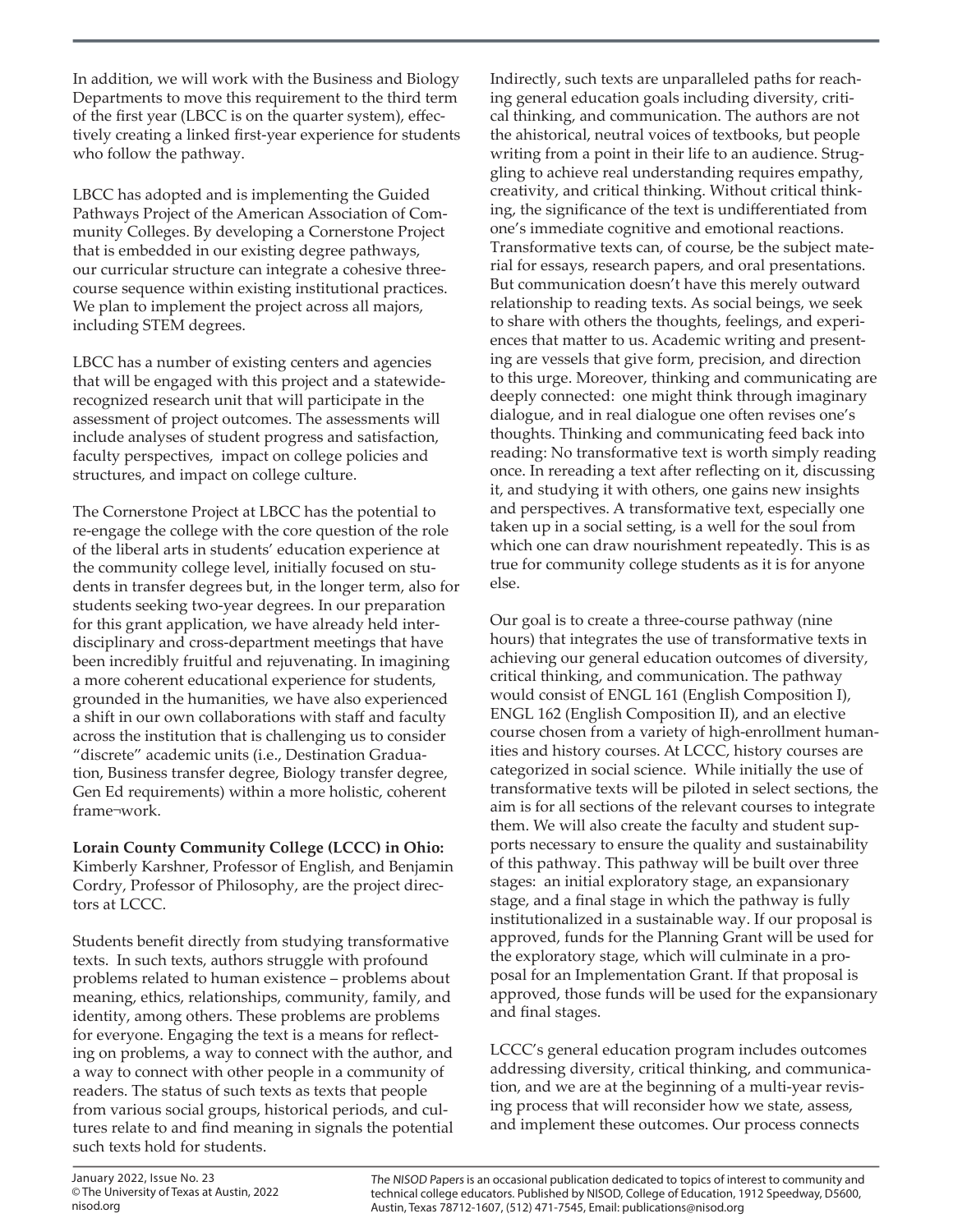In addition, we will work with the Business and Biology Departments to move this requirement to the third term of the first year (LBCC is on the quarter system), effectively creating a linked first-year experience for students who follow the pathway.

LBCC has adopted and is implementing the Guided Pathways Project of the American Association of Community Colleges. By developing a Cornerstone Project that is embedded in our existing degree pathways, our curricular structure can integrate a cohesive threecourse sequence within existing institutional practices. We plan to implement the project across all majors, including STEM degrees.

LBCC has a number of existing centers and agencies that will be engaged with this project and a statewiderecognized research unit that will participate in the assessment of project outcomes. The assessments will include analyses of student progress and satisfaction, faculty perspectives, impact on college policies and structures, and impact on college culture.

The Cornerstone Project at LBCC has the potential to re-engage the college with the core question of the role of the liberal arts in students' education experience at the community college level, initially focused on students in transfer degrees but, in the longer term, also for students seeking two-year degrees. In our preparation for this grant application, we have already held interdisciplinary and cross-department meetings that have been incredibly fruitful and rejuvenating. In imagining a more coherent educational experience for students, grounded in the humanities, we have also experienced a shift in our own collaborations with staff and faculty across the institution that is challenging us to consider "discrete" academic units (i.e., Destination Graduation, Business transfer degree, Biology transfer degree, Gen Ed requirements) within a more holistic, coherent frame¬work.

**Lorain County Community College (LCCC) in Ohio:** Kimberly Karshner, Professor of English, and Benjamin Cordry, Professor of Philosophy, are the project directors at LCCC.

Students benefit directly from studying transformative texts. In such texts, authors struggle with profound problems related to human existence – problems about meaning, ethics, relationships, community, family, and identity, among others. These problems are problems for everyone. Engaging the text is a means for reflecting on problems, a way to connect with the author, and a way to connect with other people in a community of readers. The status of such texts as texts that people from various social groups, historical periods, and cultures relate to and find meaning in signals the potential such texts hold for students.

Indirectly, such texts are unparalleled paths for reaching general education goals including diversity, critical thinking, and communication. The authors are not the ahistorical, neutral voices of textbooks, but people writing from a point in their life to an audience. Struggling to achieve real understanding requires empathy, creativity, and critical thinking. Without critical thinking, the significance of the text is undifferentiated from one's immediate cognitive and emotional reactions. Transformative texts can, of course, be the subject material for essays, research papers, and oral presentations. But communication doesn't have this merely outward relationship to reading texts. As social beings, we seek to share with others the thoughts, feelings, and experiences that matter to us. Academic writing and presenting are vessels that give form, precision, and direction to this urge. Moreover, thinking and communicating are deeply connected: one might think through imaginary dialogue, and in real dialogue one often revises one's thoughts. Thinking and communicating feed back into reading: No transformative text is worth simply reading once. In rereading a text after reflecting on it, discussing it, and studying it with others, one gains new insights and perspectives. A transformative text, especially one taken up in a social setting, is a well for the soul from which one can draw nourishment repeatedly. This is as true for community college students as it is for anyone else.

Our goal is to create a three-course pathway (nine hours) that integrates the use of transformative texts in achieving our general education outcomes of diversity, critical thinking, and communication. The pathway would consist of ENGL 161 (English Composition I), ENGL 162 (English Composition II), and an elective course chosen from a variety of high-enrollment humanities and history courses. At LCCC, history courses are categorized in social science. While initially the use of transformative texts will be piloted in select sections, the aim is for all sections of the relevant courses to integrate them. We will also create the faculty and student supports necessary to ensure the quality and sustainability of this pathway. This pathway will be built over three stages: an initial exploratory stage, an expansionary stage, and a final stage in which the pathway is fully institutionalized in a sustainable way. If our proposal is approved, funds for the Planning Grant will be used for the exploratory stage, which will culminate in a proposal for an Implementation Grant. If that proposal is approved, those funds will be used for the expansionary and final stages.

LCCC's general education program includes outcomes addressing diversity, critical thinking, and communication, and we are at the beginning of a multi-year revising process that will reconsider how we state, assess, and implement these outcomes. Our process connects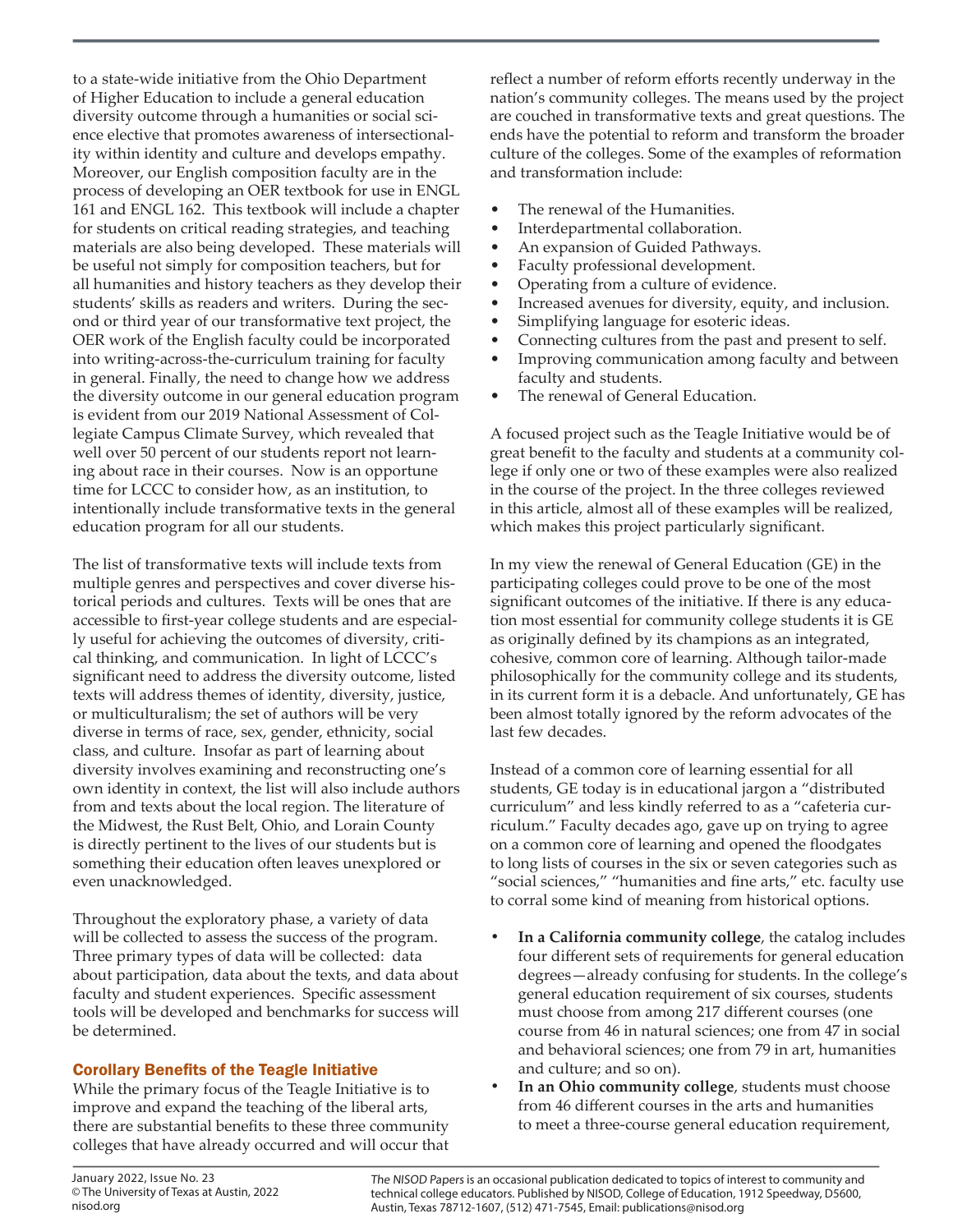to a state-wide initiative from the Ohio Department of Higher Education to include a general education diversity outcome through a humanities or social science elective that promotes awareness of intersectionality within identity and culture and develops empathy. Moreover, our English composition faculty are in the process of developing an OER textbook for use in ENGL 161 and ENGL 162. This textbook will include a chapter for students on critical reading strategies, and teaching materials are also being developed. These materials will be useful not simply for composition teachers, but for all humanities and history teachers as they develop their students' skills as readers and writers. During the second or third year of our transformative text project, the OER work of the English faculty could be incorporated into writing-across-the-curriculum training for faculty in general. Finally, the need to change how we address the diversity outcome in our general education program is evident from our 2019 National Assessment of Collegiate Campus Climate Survey, which revealed that well over 50 percent of our students report not learning about race in their courses. Now is an opportune time for LCCC to consider how, as an institution, to intentionally include transformative texts in the general education program for all our students.

The list of transformative texts will include texts from multiple genres and perspectives and cover diverse historical periods and cultures. Texts will be ones that are accessible to first-year college students and are especially useful for achieving the outcomes of diversity, critical thinking, and communication. In light of LCCC's significant need to address the diversity outcome, listed texts will address themes of identity, diversity, justice, or multiculturalism; the set of authors will be very diverse in terms of race, sex, gender, ethnicity, social class, and culture. Insofar as part of learning about diversity involves examining and reconstructing one's own identity in context, the list will also include authors from and texts about the local region. The literature of the Midwest, the Rust Belt, Ohio, and Lorain County is directly pertinent to the lives of our students but is something their education often leaves unexplored or even unacknowledged.

Throughout the exploratory phase, a variety of data will be collected to assess the success of the program. Three primary types of data will be collected: data about participation, data about the texts, and data about faculty and student experiences. Specific assessment tools will be developed and benchmarks for success will be determined.

### Corollary Benefits of the Teagle Initiative

While the primary focus of the Teagle Initiative is to improve and expand the teaching of the liberal arts, there are substantial benefits to these three community colleges that have already occurred and will occur that reflect a number of reform efforts recently underway in the nation's community colleges. The means used by the project are couched in transformative texts and great questions. The ends have the potential to reform and transform the broader culture of the colleges. Some of the examples of reformation and transformation include:

- The renewal of the Humanities.
- Interdepartmental collaboration.
- An expansion of Guided Pathways.
- Faculty professional development.
- Operating from a culture of evidence.
- Increased avenues for diversity, equity, and inclusion.
- Simplifying language for esoteric ideas.
- Connecting cultures from the past and present to self.
- Improving communication among faculty and between faculty and students.
- The renewal of General Education.

A focused project such as the Teagle Initiative would be of great benefit to the faculty and students at a community college if only one or two of these examples were also realized in the course of the project. In the three colleges reviewed in this article, almost all of these examples will be realized, which makes this project particularly significant.

In my view the renewal of General Education (GE) in the participating colleges could prove to be one of the most significant outcomes of the initiative. If there is any education most essential for community college students it is GE as originally defined by its champions as an integrated, cohesive, common core of learning. Although tailor-made philosophically for the community college and its students, in its current form it is a debacle. And unfortunately, GE has been almost totally ignored by the reform advocates of the last few decades.

Instead of a common core of learning essential for all students, GE today is in educational jargon a "distributed curriculum" and less kindly referred to as a "cafeteria curriculum." Faculty decades ago, gave up on trying to agree on a common core of learning and opened the floodgates to long lists of courses in the six or seven categories such as "social sciences," "humanities and fine arts," etc. faculty use to corral some kind of meaning from historical options.

- **• In a California community college**, the catalog includes four different sets of requirements for general education degrees—already confusing for students. In the college's general education requirement of six courses, students must choose from among 217 different courses (one course from 46 in natural sciences; one from 47 in social and behavioral sciences; one from 79 in art, humanities and culture; and so on).
- **• In an Ohio community college**, students must choose from 46 different courses in the arts and humanities to meet a three-course general education requirement,